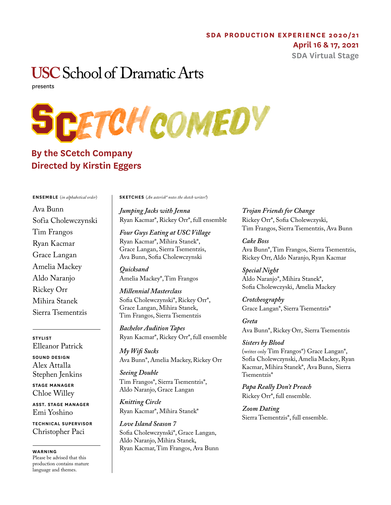## **SDA PRODUCTION EXPERIENCE 2020/21**

### **April 16 & 17, 2021**

**SDA Virtual Stage**

# **USC** School of Dramatic Arts

presents



## **By the SCetch Company Directed by Kirstin Eggers**

#### **ENSEMBLE** (*in alphabetical order*)

Ava Bunn Sofia Cholewczynski Tim Frangos Ryan Kacmar Grace Langan Amelia Mackey Aldo Naranjo Rickey Orr Mihira Stanek Sierra Tsementzis

**STYLIST** Elleanor Patrick **SOUND DESIGN** Alex Attalla Stephen Jenkins **STAGE MANAGER** Chloe Willey

**ASST. STAGE MANAGER** Emi Yoshino

**TECHNICAL SUPERVISOR** Christopher Paci

**WARNING** Please be advised that this production contains mature language and themes.

**SKETCHES** (*An asterisk\* notes the sketch writer!*)

*Jumping Jacks with Jenna*  Ryan Kacmar\*, Rickey Orr\*, full ensemble

*Four Guys Eating at USC Village*  Ryan Kacmar\*, Mihira Stanek\*, Grace Langan, Sierra Tsementzis, Ava Bunn, Sofia Cholewczynski

*Quicksand* Amelia Mackey\*, Tim Frangos

*Millennial Masterclass* Sofia Cholewczynski\*, Rickey Orr\*, Grace Langan, Mihira Stanek, Tim Frangos, Sierra Tsementzis

*Bachelor Audition Tapes* Ryan Kacmar\*, Rickey Orr\*, full ensemble

*My Wifi Sucks* Ava Bunn\*, Amelia Mackey, Rickey Orr

*Seeing Double* Tim Frangos\*, Sierra Tsementzis\*, Aldo Naranjo, Grace Langan

*Knitting Circle* Ryan Kacmar\*, Mihira Stanek\*

*Love Island Season 7* Sofia Cholewczynski\*, Grace Langan, Aldo Naranjo, Mihira Stanek, Ryan Kacmar, Tim Frangos, Ava Bunn *Trojan Friends for Change* Rickey Orr\*, Sofia Cholewczyski, Tim Frangos, Sierra Tsementzis, Ava Bunn

*Cake Boss* Ava Bunn\*, Tim Frangos, Sierra Tsementzis, Rickey Orr, Aldo Naranjo, Ryan Kacmar

*Special Night* Aldo Naranjo\*, Mihira Stanek\*, Sofia Cholewczyski, Amelia Mackey

*Crotcheography* Grace Langan\*, Sierra Tsementzis\*

*Greta* Ava Bunn\*, Rickey Orr, Sierra Tsementzis

*Sisters by Blood* (writer only Tim Frangos\*) Grace Langan\*, Sofia Cholewczynski, Amelia Mackey, Ryan Kacmar, Mihira Stanek\*, Ava Bunn, Sierra Tsementzis\*

*Papa Really Don't Preach* Rickey Orr\*, full ensemble.

*Zoom Dating* Sierra Tsementzis\*, full ensemble.